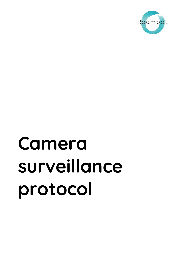

# **Camera surveillance protocol**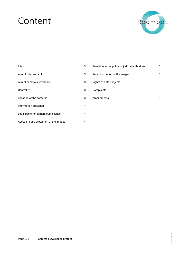# Content



| Intro                                  | 3 |
|----------------------------------------|---|
| Aim of this protocol                   | 3 |
| Aim of camera surveillance             | 3 |
| Controller                             | 3 |
| Location of the cameras                | 3 |
| Information provision                  | 4 |
| Legal basis for camera surveillance    | 4 |
| Access to and protection of the images | 4 |

| Provision to the police or judicial authorities | 5 |
|-------------------------------------------------|---|
| Retention period of the images                  | 5 |
| Rights of data subjects                         | 5 |
| Complaints                                      | 5 |
| Amendments                                      | 5 |
|                                                 |   |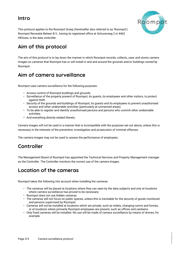#### <span id="page-2-0"></span>**Intro**



This protocol applies to the Roompot Groep (hereinafter also referred to as 'Roompot'). Roompot Recreatie Beheer B.V., having its registered office at Schuverweg 2 in 4462 HKGoes, is the data controller.

# <span id="page-2-1"></span>**Aim of this protocol**

The aim of this protocol is to lay down the manner in which Roompot records, collects, uses and stores camera images on cameras that Roompot has or will install in and and around the grounds and/or buildings owned by Roompot.

#### <span id="page-2-2"></span>**Aim of camera surveillance**

Roompot uses camera surveillance for the following purposes:

- Access control of Roompot buildings and grounds.
- Surveillance of the property present of Roompot, its guests, its employees and other visitors, to protect against theft.
- Security of the grounds and buildings of Roompot, its guests and its employees to prevent unauthorised access and other undesirable activities (particularly at unmanned areas).
- To be able to register and identify unauthorised persons and persons who commit other undesirable activities.
- And everything directly related thereto.

Camera images will not be used in a manner that is incompatible with the purposes set out above, unless this is necessary in the interests of the prevention, investigation and prosecution of criminal offences.

The camera images may not be used to assess the performance of employees.

#### <span id="page-2-3"></span>**Controller**

The Management Board of Roompot has appointed the Technical Services and Property Management manager as the Controller. The Controller monitors the correct use of the camera images.

#### <span id="page-2-4"></span>**Location of the cameras**

Roompot takes the following into account when installing the cameras:

- The cameras will be placed at locations where they can seen by the data subjects and only at locations where camera surveillance has proved to be necessary.
- Roompot does not use hidden cameras.
- The cameras will not focus on public spaces, unless this is inevitable for the security of goods monitored and persons supervised by Roompot.
- Cameras will not be installed at locations which are private, such as toilets, changing rooms and homes, or at locations where primarily Roompot employees are present, such as offices and canteens.
- Only fixed cameras will be installed. No use will be made of camera surveillance by means of drones, for example.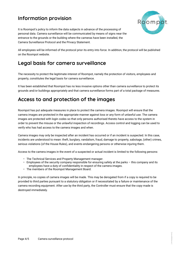## <span id="page-3-0"></span>**Information provision**



[versiegegevens]

It is Roompot's policy to inform the data subjects in advance of the processing of personal data. Camera surveillance will be communicated by means of signs near the entrance to the grounds or the building where the cameras have been installed, the Camera Surveillance Protocol and the Privacy Statement.

All employees will be informed of the protocol prior its entry into force. In addition, the protocol will be published on the Roompot website.

#### <span id="page-3-1"></span>**Legal basis for camera surveillance**

The necessity to protect the legitimate interest of Roompot, namely the protection of visitors, employees and property, constitutes the legal basis for camera surveillance.

It has been established that Roompot has no less invasive options other than camera surveillance to protect its grounds and/or buildings appropriately and that camera surveillance forms part of a total package of measures.

#### <span id="page-3-2"></span>**Access to and protection of the images**

Roompot has put adequate measures in place to protect the camera images. Roompot will ensure that the camera images are protected in the appropriate manner against loss or any form of unlawful use. The camera images are protected with login codes so that only persons authorised thereto have access to the system in order to prevent the misuse or the unlawful inspection of recordings. Access control and logging can be used to verify who has had access to the camera images and when.

Camera images may only be inspected after an incident has occurred or if an incident is suspected. In this case, incidents are understood to mean: theft, burglary, vandalism, fraud, damage to property, sabotage, (other) crimes, serious violations (of the House Rules), and events endangering persons or otherwise injuring them.

Access to the camera images in the event of a suspected or actual incident is limited to the following persons:

- The Technical Services and Property Management manager.
- Employees of the security company responsible for ensuring safety at the parks this company and its employees have a duty of confidentiality in respect of the camera images.
- The members of the Roompot Management Board.

In principle, no copies of camera images will be made. This may be derogated from if a copy is required to be provided to third parties pursuant to a statutory obligation or if necessitated by a failure or maintenance of the camera recording equipment. After use by the third party, the Controller must ensure that the copy made is destroyed immediately.